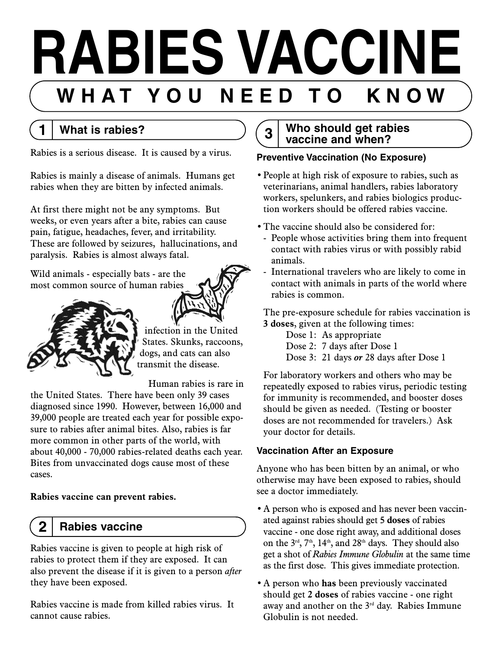# **RABIES VACCINE W H A T Y O U N E E D T O K N O W**

# **1 What is rabies?**

Rabies is a serious disease. It is caused by a virus.

Rabies is mainly a disease of animals. Humans get rabies when they are bitten by infected animals.

At first there might not be any symptoms. But weeks, or even years after a bite, rabies can cause pain, fatigue, headaches, fever, and irritability. These are followed by seizures, hallucinations, and paralysis. Rabies is almost always fatal.

Wild animals - especially bats - are the most common source of human rabies



infection in the United States. Skunks, raccoons, dogs, and cats can also transmit the disease.

Human rabies is rare in

the United States. There have been only 39 cases diagnosed since 1990. However, between 16,000 and 39,000 people are treated each year for possible exposure to rabies after animal bites. Also, rabies is far more common in other parts of the world, with about 40,000 - 70,000 rabies-related deaths each year. Bites from unvaccinated dogs cause most of these cases.

## **Rabies vaccine can prevent rabies.**

# **2 Rabies vaccine**

Rabies vaccine is given to people at high risk of rabies to protect them if they are exposed. It can also prevent the disease if it is given to a person *after* they have been exposed.

Rabies vaccine is made from killed rabies virus. It cannot cause rabies.

# **3 Who should get rabies vaccine and when?**

# **Preventive Vaccination (No Exposure)**

- People at high risk of exposure to rabies, such as veterinarians, animal handlers, rabies laboratory workers, spelunkers, and rabies biologics production workers should be offered rabies vaccine.
- The vaccine should also be considered for:
	- People whose activities bring them into frequent contact with rabies virus or with possibly rabid animals.
	- International travelers who are likely to come in contact with animals in parts of the world where rabies is common.

The pre-exposure schedule for rabies vaccination is **3 doses**, given at the following times:

Dose 1: As appropriate

Dose 2: 7 days after Dose 1

Dose 3: 21 days *or* 28 days after Dose 1

For laboratory workers and others who may be repeatedly exposed to rabies virus, periodic testing for immunity is recommended, and booster doses should be given as needed. (Testing or booster doses are not recommended for travelers.) Ask your doctor for details.

# **Vaccination After an Exposure**

Anyone who has been bitten by an animal, or who otherwise may have been exposed to rabies, should see a doctor immediately.

- A person who is exposed and has never been vaccinated against rabies should get **5 doses** of rabies vaccine - one dose right away, and additional doses on the  $3<sup>rd</sup>$ ,  $7<sup>th</sup>$ ,  $14<sup>th</sup>$ , and  $28<sup>th</sup>$  days. They should also get a shot of *Rabies Immune Globulin* at the same time as the first dose. This gives immediate protection.
- A person who **has** been previously vaccinated should get **2 doses** of rabies vaccine - one right away and another on the 3<sup>rd</sup> day. Rabies Immune Globulin is not needed.